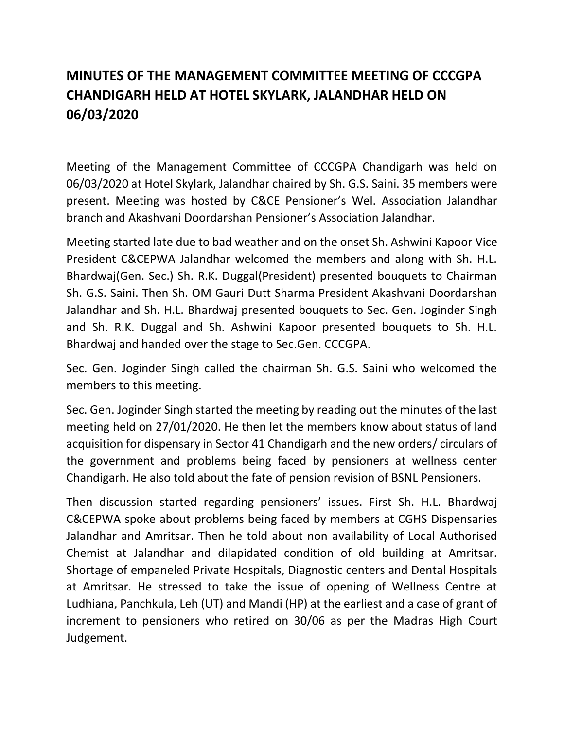## **MINUTES OF THE MANAGEMENT COMMITTEE MEETING OF CCCGPA CHANDIGARH HELD AT HOTEL SKYLARK, JALANDHAR HELD ON 06/03/2020**

Meeting of the Management Committee of CCCGPA Chandigarh was held on 06/03/2020 at Hotel Skylark, Jalandhar chaired by Sh. G.S. Saini. 35 members were present. Meeting was hosted by C&CE Pensioner's Wel. Association Jalandhar branch and Akashvani Doordarshan Pensioner's Association Jalandhar.

Meeting started late due to bad weather and on the onset Sh. Ashwini Kapoor Vice President C&CEPWA Jalandhar welcomed the members and along with Sh. H.L. Bhardwaj(Gen. Sec.) Sh. R.K. Duggal(President) presented bouquets to Chairman Sh. G.S. Saini. Then Sh. OM Gauri Dutt Sharma President Akashvani Doordarshan Jalandhar and Sh. H.L. Bhardwaj presented bouquets to Sec. Gen. Joginder Singh and Sh. R.K. Duggal and Sh. Ashwini Kapoor presented bouquets to Sh. H.L. Bhardwaj and handed over the stage to Sec.Gen. CCCGPA.

Sec. Gen. Joginder Singh called the chairman Sh. G.S. Saini who welcomed the members to this meeting.

Sec. Gen. Joginder Singh started the meeting by reading out the minutes of the last meeting held on 27/01/2020. He then let the members know about status of land acquisition for dispensary in Sector 41 Chandigarh and the new orders/ circulars of the government and problems being faced by pensioners at wellness center Chandigarh. He also told about the fate of pension revision of BSNL Pensioners.

Then discussion started regarding pensioners' issues. First Sh. H.L. Bhardwaj C&CEPWA spoke about problems being faced by members at CGHS Dispensaries Jalandhar and Amritsar. Then he told about non availability of Local Authorised Chemist at Jalandhar and dilapidated condition of old building at Amritsar. Shortage of empaneled Private Hospitals, Diagnostic centers and Dental Hospitals at Amritsar. He stressed to take the issue of opening of Wellness Centre at Ludhiana, Panchkula, Leh (UT) and Mandi (HP) at the earliest and a case of grant of increment to pensioners who retired on 30/06 as per the Madras High Court Judgement.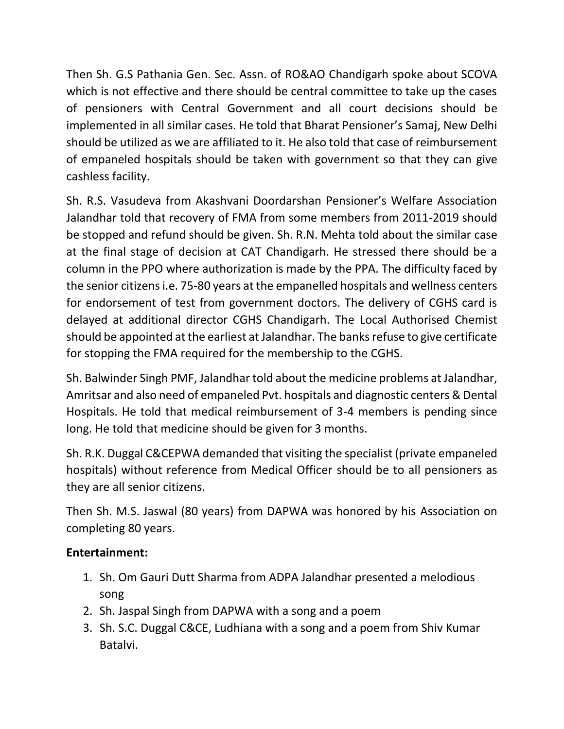Then Sh. G.S Pathania Gen. Sec. Assn. of RO&AO Chandigarh spoke about SCOVA which is not effective and there should be central committee to take up the cases of pensioners with Central Government and all court decisions should be implemented in all similar cases. He told that Bharat Pensioner's Samaj, New Delhi should be utilized as we are affiliated to it. He also told that case of reimbursement of empaneled hospitals should be taken with government so that they can give cashless facility.

Sh. R.S. Vasudeva from Akashvani Doordarshan Pensioner's Welfare Association Jalandhar told that recovery of FMA from some members from 2011-2019 should be stopped and refund should be given. Sh. R.N. Mehta told about the similar case at the final stage of decision at CAT Chandigarh. He stressed there should be a column in the PPO where authorization is made by the PPA. The difficulty faced by the senior citizens i.e. 75-80 years at the empanelled hospitals and wellness centers for endorsement of test from government doctors. The delivery of CGHS card is delayed at additional director CGHS Chandigarh. The Local Authorised Chemist should be appointed at the earliest at Jalandhar. The banks refuse to give certificate for stopping the FMA required for the membership to the CGHS.

Sh. Balwinder Singh PMF, Jalandhar told about the medicine problems at Jalandhar, Amritsar and also need of empaneled Pvt. hospitals and diagnostic centers & Dental Hospitals. He told that medical reimbursement of 3-4 members is pending since long. He told that medicine should be given for 3 months.

Sh. R.K. Duggal C&CEPWA demanded that visiting the specialist (private empaneled hospitals) without reference from Medical Officer should be to all pensioners as they are all senior citizens.

Then Sh. M.S. Jaswal (80 years) from DAPWA was honored by his Association on completing 80 years.

## **Entertainment:**

- 1. Sh. Om Gauri Dutt Sharma from ADPA Jalandhar presented a melodious song
- 2. Sh. Jaspal Singh from DAPWA with a song and a poem
- 3. Sh. S.C. Duggal C&CE, Ludhiana with a song and a poem from Shiv Kumar Batalvi.